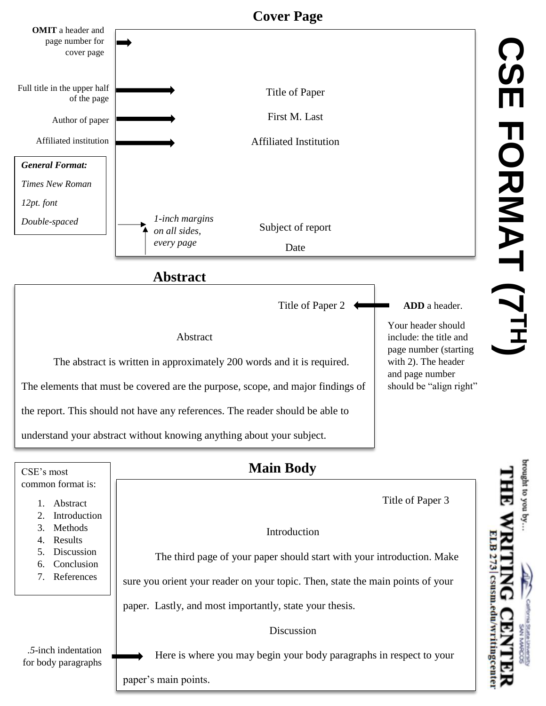